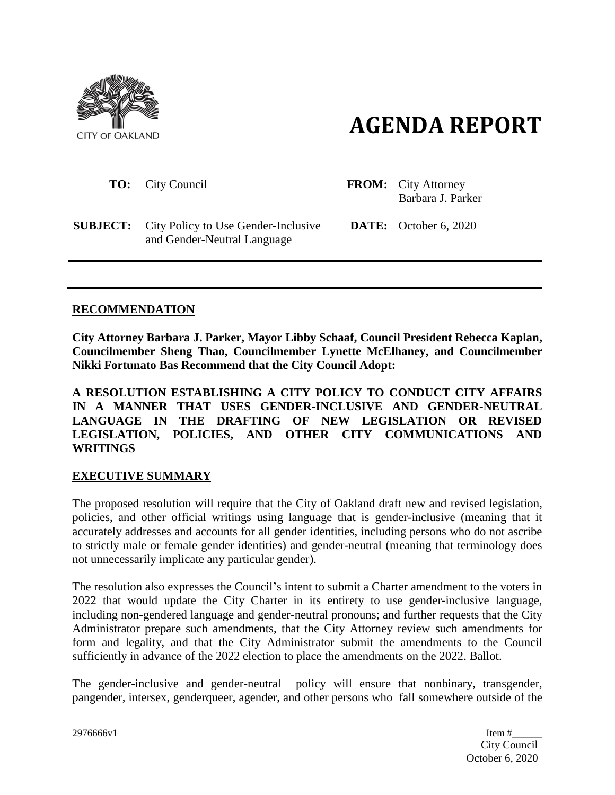



| <b>TO:</b> City Council                                                            | <b>FROM:</b> City Attorney<br>Barbara J. Parker |
|------------------------------------------------------------------------------------|-------------------------------------------------|
| <b>SUBJECT:</b> City Policy to Use Gender-Inclusive<br>and Gender-Neutral Language | <b>DATE:</b> October 6, 2020                    |
|                                                                                    |                                                 |

### **RECOMMENDATION**

**City Attorney Barbara J. Parker, Mayor Libby Schaaf, Council President Rebecca Kaplan, Councilmember Sheng Thao, Councilmember Lynette McElhaney, and Councilmember Nikki Fortunato Bas Recommend that the City Council Adopt:**

**A RESOLUTION ESTABLISHING A CITY POLICY TO CONDUCT CITY AFFAIRS IN A MANNER THAT USES GENDER-INCLUSIVE AND GENDER-NEUTRAL LANGUAGE IN THE DRAFTING OF NEW LEGISLATION OR REVISED LEGISLATION, POLICIES, AND OTHER CITY COMMUNICATIONS AND WRITINGS**

### **EXECUTIVE SUMMARY**

The proposed resolution will require that the City of Oakland draft new and revised legislation, policies, and other official writings using language that is gender-inclusive (meaning that it accurately addresses and accounts for all gender identities, including persons who do not ascribe to strictly male or female gender identities) and gender-neutral (meaning that terminology does not unnecessarily implicate any particular gender).

The resolution also expresses the Council's intent to submit a Charter amendment to the voters in 2022 that would update the City Charter in its entirety to use gender-inclusive language, including non-gendered language and gender-neutral pronouns; and further requests that the City Administrator prepare such amendments, that the City Attorney review such amendments for form and legality, and that the City Administrator submit the amendments to the Council sufficiently in advance of the 2022 election to place the amendments on the 2022. Ballot.

The gender-inclusive and gender-neutral policy will ensure that nonbinary, transgender, pangender, intersex, genderqueer, agender, and other persons who fall somewhere outside of the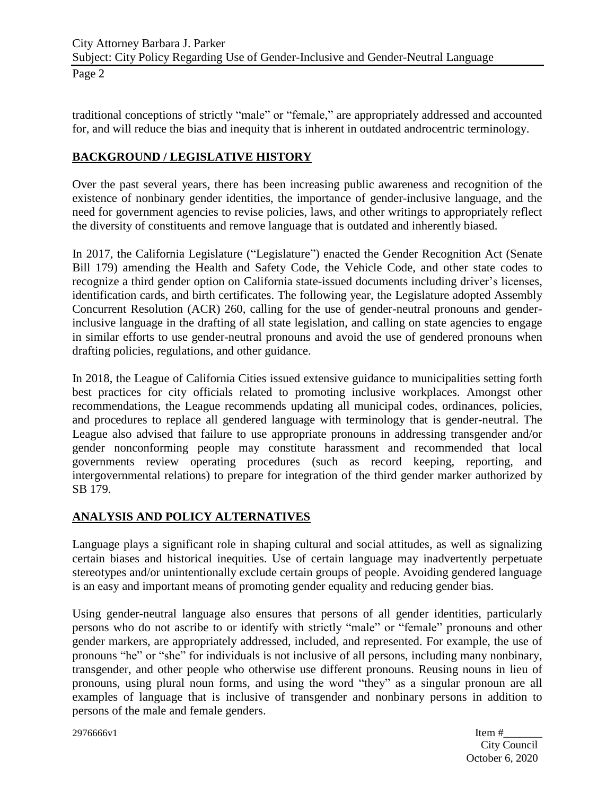Page 2

traditional conceptions of strictly "male" or "female," are appropriately addressed and accounted for, and will reduce the bias and inequity that is inherent in outdated androcentric terminology.

# **BACKGROUND / LEGISLATIVE HISTORY**

Over the past several years, there has been increasing public awareness and recognition of the existence of nonbinary gender identities, the importance of gender-inclusive language, and the need for government agencies to revise policies, laws, and other writings to appropriately reflect the diversity of constituents and remove language that is outdated and inherently biased.

In 2017, the California Legislature ("Legislature") enacted the Gender Recognition Act (Senate Bill 179) amending the Health and Safety Code, the Vehicle Code, and other state codes to recognize a third gender option on California state-issued documents including driver's licenses, identification cards, and birth certificates. The following year, the Legislature adopted Assembly Concurrent Resolution (ACR) 260, calling for the use of gender-neutral pronouns and genderinclusive language in the drafting of all state legislation, and calling on state agencies to engage in similar efforts to use gender-neutral pronouns and avoid the use of gendered pronouns when drafting policies, regulations, and other guidance.

In 2018, the League of California Cities issued extensive guidance to municipalities setting forth best practices for city officials related to promoting inclusive workplaces. Amongst other recommendations, the League recommends updating all municipal codes, ordinances, policies, and procedures to replace all gendered language with terminology that is gender-neutral. The League also advised that failure to use appropriate pronouns in addressing transgender and/or gender nonconforming people may constitute harassment and recommended that local governments review operating procedures (such as record keeping, reporting, and intergovernmental relations) to prepare for integration of the third gender marker authorized by SB 179.

# **ANALYSIS AND POLICY ALTERNATIVES**

Language plays a significant role in shaping cultural and social attitudes, as well as signalizing certain biases and historical inequities. Use of certain language may inadvertently perpetuate stereotypes and/or unintentionally exclude certain groups of people. Avoiding gendered language is an easy and important means of promoting gender equality and reducing gender bias.

Using gender-neutral language also ensures that persons of all gender identities, particularly persons who do not ascribe to or identify with strictly "male" or "female" pronouns and other gender markers, are appropriately addressed, included, and represented. For example, the use of pronouns "he" or "she" for individuals is not inclusive of all persons, including many nonbinary, transgender, and other people who otherwise use different pronouns. Reusing nouns in lieu of pronouns, using plural noun forms, and using the word "they" as a singular pronoun are all examples of language that is inclusive of transgender and nonbinary persons in addition to persons of the male and female genders.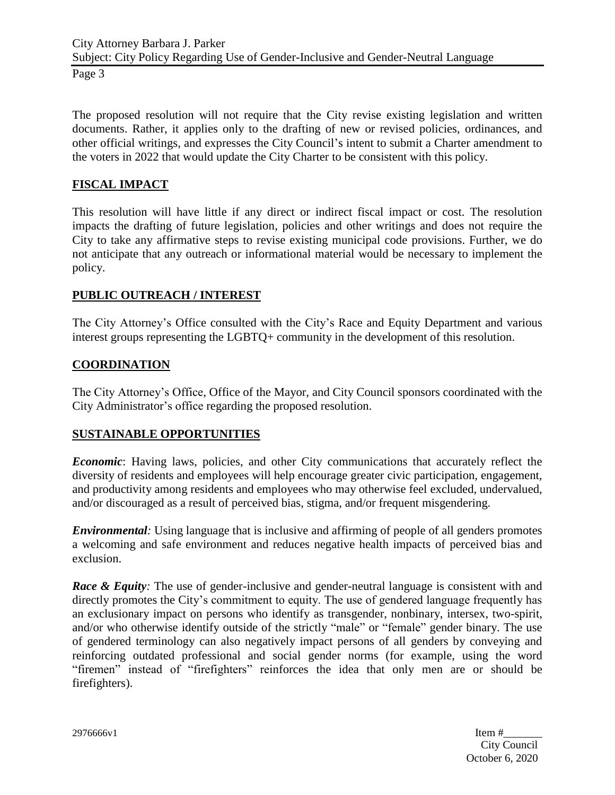Page 3

The proposed resolution will not require that the City revise existing legislation and written documents. Rather, it applies only to the drafting of new or revised policies, ordinances, and other official writings, and expresses the City Council's intent to submit a Charter amendment to the voters in 2022 that would update the City Charter to be consistent with this policy.

## **FISCAL IMPACT**

This resolution will have little if any direct or indirect fiscal impact or cost. The resolution impacts the drafting of future legislation, policies and other writings and does not require the City to take any affirmative steps to revise existing municipal code provisions. Further, we do not anticipate that any outreach or informational material would be necessary to implement the policy.

## **PUBLIC OUTREACH / INTEREST**

The City Attorney's Office consulted with the City's Race and Equity Department and various interest groups representing the LGBTQ+ community in the development of this resolution.

## **COORDINATION**

The City Attorney's Office, Office of the Mayor, and City Council sponsors coordinated with the City Administrator's office regarding the proposed resolution.

## **SUSTAINABLE OPPORTUNITIES**

*Economic*: Having laws, policies, and other City communications that accurately reflect the diversity of residents and employees will help encourage greater civic participation, engagement, and productivity among residents and employees who may otherwise feel excluded, undervalued, and/or discouraged as a result of perceived bias, stigma, and/or frequent misgendering.

*Environmental:* Using language that is inclusive and affirming of people of all genders promotes a welcoming and safe environment and reduces negative health impacts of perceived bias and exclusion.

*Race & Equity:* The use of gender-inclusive and gender-neutral language is consistent with and directly promotes the City's commitment to equity. The use of gendered language frequently has an exclusionary impact on persons who identify as transgender, nonbinary, intersex, two-spirit, and/or who otherwise identify outside of the strictly "male" or "female" gender binary. The use of gendered terminology can also negatively impact persons of all genders by conveying and reinforcing outdated professional and social gender norms (for example, using the word "firemen" instead of "firefighters" reinforces the idea that only men are or should be firefighters).

2976666v1 Item #\_\_\_\_\_\_\_ City Council October 6, 2020